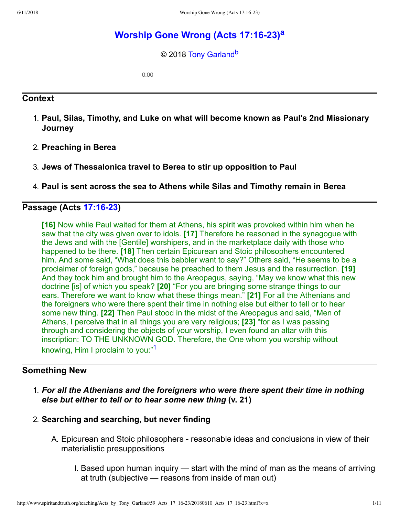# **Worship Gone Wrong (Acts 17:16-23)**<sup>[a](#page-10-0)</sup>

<span id="page-0-2"></span><span id="page-0-1"></span>© 2018 [Tony Garland](http://www.spiritandtruth.org/id/tg.htm)<sup>[b](#page-10-1)</sup>

0:00

### **Context**

- 1. **Paul, Silas, Timothy, and Luke on what will become known as Paul's 2nd Missionary Journey**
- 2. **Preaching in Berea**
- 3. **Jews of Thessalonica travel to Berea to stir up opposition to Paul**
- 4. **Paul is sent across the sea to Athens while Silas and Timothy remain in Berea**

### **Passage (Acts 17:16-23)**

**[16]** Now while Paul waited for them at Athens, his spirit was provoked within him when he saw that the city was given over to idols. **[17]** Therefore he reasoned in the synagogue with the Jews and with the [Gentile] worshipers, and in the marketplace daily with those who happened to be there. **[18]** Then certain Epicurean and Stoic philosophers encountered him. And some said, "What does this babbler want to say?" Others said, "He seems to be a proclaimer of foreign gods," because he preached to them Jesus and the resurrection. **[19]** And they took him and brought him to the Areopagus, saying, "May we know what this new doctrine [is] of which you speak? **[20]** "For you are bringing some strange things to our ears. Therefore we want to know what these things mean." **[21]** For all the Athenians and the foreigners who were there spent their time in nothing else but either to tell or to hear some new thing. **[22]** Then Paul stood in the midst of the Areopagus and said, "Men of Athens, I perceive that in all things you are very religious; **[23]** "for as I was passing through and considering the objects of your worship, I even found an altar with this inscription: TO THE UNKNOWN GOD. Therefore, the One whom you worship without knowing, Him I proclaim to you:"[1](#page-9-0)

### **Something New**

- <span id="page-0-0"></span>1. *For all the Athenians and the foreigners who were there spent their time in nothing else but either to tell or to hear some new thing* **(v. 21)**
- 2. **Searching and searching, but never finding**
	- A. Epicurean and Stoic philosophers reasonable ideas and conclusions in view of their materialistic presuppositions
		- I. Based upon human inquiry start with the mind of man as the means of arriving at truth (subjective — reasons from inside of man out)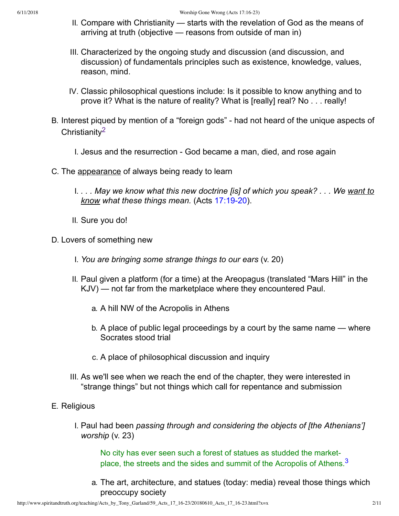- II. Compare with Christianity starts with the revelation of God as the means of arriving at truth (objective — reasons from outside of man in)
- III. Characterized by the ongoing study and discussion (and discussion, and discussion) of fundamentals principles such as existence, knowledge, values, reason, mind.
- <span id="page-1-0"></span>IV. Classic philosophical questions include: Is it possible to know anything and to prove it? What is the nature of reality? What is [really] real? No . . . really!
- B. Interest piqued by mention of a "foreign gods" had not heard of the unique aspects of Christianity[2](#page-9-1)
	- I. Jesus and the resurrection God became a man, died, and rose again
- C. The appearance of always being ready to learn
	- I. *. . . May we know what this new doctrine [is] of which you speak? . . . We want to know what these things mean.* (Acts 17:19-20).
	- II. Sure you do!
- D. Lovers of something new
	- I. *You are bringing some strange things to our ears* (v. 20)
	- II. Paul given a platform (for a time) at the Areopagus (translated "Mars Hill" in the KJV) — not far from the marketplace where they encountered Paul.
		- a. A hill NW of the Acropolis in Athens
		- b. A place of public legal proceedings by a court by the same name where Socrates stood trial
		- c. A place of philosophical discussion and inquiry
	- III. As we'll see when we reach the end of the chapter, they were interested in "strange things" but not things which call for repentance and submission
- E. Religious
	- I. Paul had been *passing through and considering the objects of [the Athenians'] worship* (v. 23)

<span id="page-1-1"></span>No city has ever seen such a forest of statues as studded the market-place, the streets and the sides and summit of the Acropolis of Athens.<sup>[3](#page-9-2)</sup>

a. The art, architecture, and statues (today: media) reveal those things which preoccupy society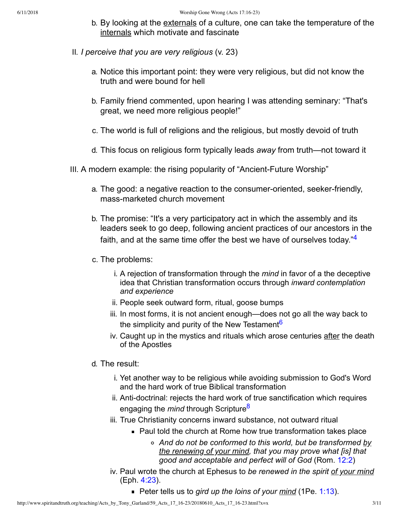- b. By looking at the externals of a culture, one can take the temperature of the internals which motivate and fascinate
- II. *I perceive that you are very religious* (v. 23)
	- a. Notice this important point: they were very religious, but did not know the truth and were bound for hell
	- b. Family friend commented, upon hearing I was attending seminary: "That's great, we need more religious people!"
	- c. The world is full of religions and the religious, but mostly devoid of truth
	- d. This focus on religious form typically leads *away* from truth—not toward it
- <span id="page-2-2"></span><span id="page-2-1"></span><span id="page-2-0"></span>III. A modern example: the rising popularity of "Ancient-Future Worship"
	- a. The good: a negative reaction to the consumer-oriented, seeker-friendly, mass-marketed church movement
	- b. The promise: "It's a very participatory act in which the assembly and its leaders seek to go deep, following ancient practices of our ancestors in the faith, and at the same time offer the best we have of ourselves today."<sup>[4](#page-9-3)</sup>
	- c. The problems:
		- i. A rejection of transformation through the *mind* in favor of a the deceptive idea that Christian transformation occurs through *inward contemplation and experience*
		- ii. People seek outward form, ritual, goose bumps
		- iii. In most forms, it is not ancient enough—does not go all the way back to the simplicity and purity of the New Testament<sup>[6](#page-9-4)</sup>
		- iv. Caught up in the mystics and rituals which arose centuries after the death of the Apostles
	- d. The result:
		- i. Yet another way to be religious while avoiding submission to God's Word and the hard work of true Biblical transformation
		- ii. Anti-doctrinal: rejects the hard work of true sanctification which requires engaging the *mind* through Scripture[8](#page-9-5)
		- iii. True Christianity concerns inward substance, not outward ritual
			- Paul told the church at Rome how true transformation takes place
				- *And do not be conformed to this world, but be transformed by the renewing of your mind, that you may prove what [is] that good and acceptable and perfect will of God* (Rom. [12:2](http://www.spiritandtruth.org/bibles/nasb/b45c012.htm#Rom._C12V2))
		- iv. Paul wrote the church at Ephesus to *be renewed in the spirit of your mind* (Eph. [4:23\)](http://www.spiritandtruth.org/bibles/nasb/b49c004.htm#Eph._C4V23).
			- **Peter tells us to** *gird up the loins of your mind* **(1Pe. [1:13](http://www.spiritandtruth.org/bibles/nasb/b60c001.htm#1Pe._C1V13)).**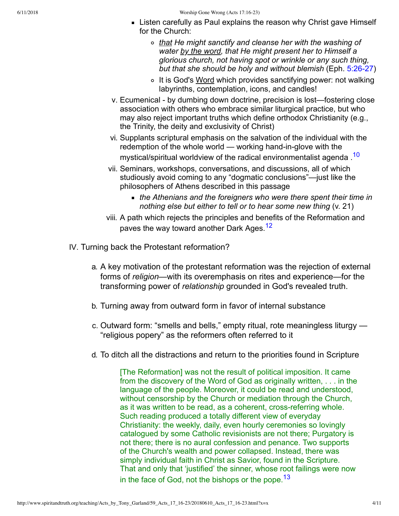- **Listen carefully as Paul explains the reason why Christ gave Himself** for the Church:
	- *that He might sanctify and cleanse her with the washing of water by the word, that He might present her to Himself a glorious church, not having spot or wrinkle or any such thing,* but that she should be holy and without blemish (Eph. 5:26-27)
	- o It is God's Word which provides sanctifying power: not walking labyrinths, contemplation, icons, and candles!
- v. Ecumenical by dumbing down doctrine, precision is lost—fostering close association with others who embrace similar liturgical practice, but who may also reject important truths which define orthodox Christianity (e.g., the Trinity, the deity and exclusivity of Christ)
- <span id="page-3-0"></span>vi. Supplants scriptural emphasis on the salvation of the individual with the redemption of the whole world  $-$  working hand-in-glove with the mystical/spiritual worldview of the radical environmentalist agenda.<sup>[10](#page-9-6)</sup>
- vii. Seminars, workshops, conversations, and discussions, all of which studiously avoid coming to any "dogmatic conclusions"—just like the philosophers of Athens described in this passage
	- *the Athenians and the foreigners who were there spent their time in nothing else but either to tell or to hear some new thing* (v. 21)
- <span id="page-3-1"></span>viii. A path which rejects the principles and benefits of the Reformation and paves the way toward another Dark Ages.<sup>[12](#page-9-7)</sup>
- IV. Turning back the Protestant reformation?
	- a. A key motivation of the protestant reformation was the rejection of external forms of *religion*—with its overemphasis on rites and experience—for the transforming power of *relationship* grounded in God's revealed truth.
	- b. Turning away from outward form in favor of internal substance
	- c. Outward form: "smells and bells," empty ritual, rote meaningless liturgy "religious popery" as the reformers often referred to it
	- d. To ditch all the distractions and return to the priorities found in Scripture

<span id="page-3-2"></span>[The Reformation] was not the result of political imposition. It came from the discovery of the Word of God as originally written, . . . in the language of the people. Moreover, it could be read and understood, without censorship by the Church or mediation through the Church, as it was written to be read, as a coherent, cross-referring whole. Such reading produced a totally different view of everyday Christianity: the weekly, daily, even hourly ceremonies so lovingly catalogued by some Catholic revisionists are not there; Purgatory is not there; there is no aural confession and penance. Two supports of the Church's wealth and power collapsed. Instead, there was simply individual faith in Christ as Savior, found in the Scripture. That and only that 'justified' the sinner, whose root failings were now in the face of God, not the bishops or the pope.  $13$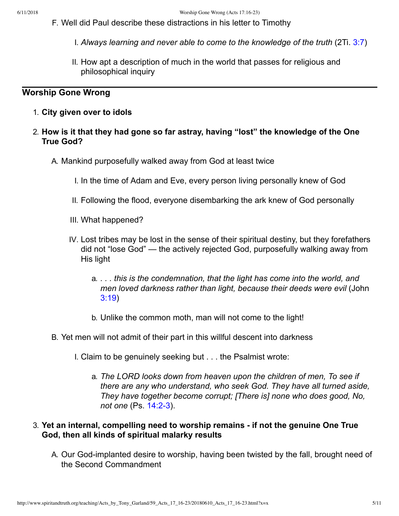- F. Well did Paul describe these distractions in his letter to Timothy
	- I. *Always learning and never able to come to the knowledge of the truth* (2Ti. [3:7](http://www.spiritandtruth.org/bibles/nasb/b55c003.htm#2Ti._C3V7))
	- II. How apt a description of much in the world that passes for religious and philosophical inquiry

## **Worship Gone Wrong**

- 1. **City given over to idols**
- 2. **How is it that they had gone so far astray, having "lost" the knowledge of the One True God?**
	- A. Mankind purposefully walked away from God at least twice
		- I. In the time of Adam and Eve, every person living personally knew of God
		- II. Following the flood, everyone disembarking the ark knew of God personally
		- III. What happened?
		- IV. Lost tribes may be lost in the sense of their spiritual destiny, but they forefathers did not "lose God" — the actively rejected God, purposefully walking away from His light
			- a. *. . . this is the condemnation, that the light has come into the world, and men loved darkness rather than light, because their deeds were evil* (John [3:19\)](http://www.spiritandtruth.org/bibles/nasb/b43c003.htm#John_C3V19)
			- b. Unlike the common moth, man will not come to the light!
	- B. Yet men will not admit of their part in this willful descent into darkness
		- I. Claim to be genuinely seeking but . . . the Psalmist wrote:
			- a. *The LORD looks down from heaven upon the children of men, To see if there are any who understand, who seek God. They have all turned aside, They have together become corrupt; [There is] none who does good, No, not one* (Ps. 14:2-3).

### 3. **Yet an internal, compelling need to worship remains if not the genuine One True God, then all kinds of spiritual malarky results**

A. Our God-implanted desire to worship, having been twisted by the fall, brought need of the Second Commandment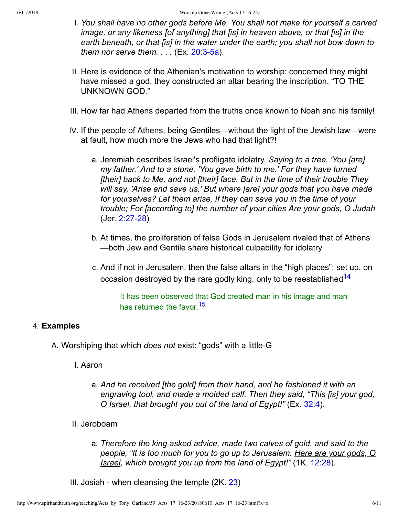- I. *You shall have no other gods before Me. You shall not make for yourself a carved image, or any likeness [of anything] that [is] in heaven above, or that [is] in the earth beneath, or that [is] in the water under the earth; you shall not bow down to them nor serve them....*  $(EX. 20:3-5a)$ .
- II. Here is evidence of the Athenian's motivation to worship: concerned they might have missed a god, they constructed an altar bearing the inscription, "TO THE UNKNOWN GOD."
- III. How far had Athens departed from the truths once known to Noah and his family!
- IV. If the people of Athens, being Gentiles—without the light of the Jewish law—were at fault, how much more the Jews who had that light?!
	- a. Jeremiah describes Israel's profligate idolatry, *Saying to a tree, 'You [are] my father,' And to a stone, 'You gave birth to me.' For they have turned [their] back to Me, and not [their] face. But in the time of their trouble They will say, 'Arise and save us.' But where [are] your gods that you have made for yourselves? Let them arise, If they can save you in the time of your trouble; For [according to] the number of your cities Are your gods, O Judah* (Jer. 2:27-28)
	- b. At times, the proliferation of false Gods in Jerusalem rivaled that of Athens —both Jew and Gentile share historical culpability for idolatry
	- c. And if not in Jerusalem, then the false altars in the "high places": set up, on occasion destroyed by the rare godly king, only to be reestablished<sup>[14](#page-9-9)</sup>

<span id="page-5-1"></span><span id="page-5-0"></span>It has been observed that God created man in his image and man has returned the favor.<sup>[15](#page-9-10)</sup>

### 4. **Examples**

A. Worshiping that which *does not* exist: "gods" with a little-G

I. Aaron

- a. *And he received [the gold] from their hand, and he fashioned it with an engraving tool, and made a molded calf. Then they said, "This [is] your god, O Israel, that brought you out of the land of Egypt!"* (Ex. [32:4](http://www.spiritandtruth.org/bibles/nasb/b02c032.htm#Ex._C32V4)).
- II. Jeroboam
	- a. *Therefore the king asked advice, made two calves of gold, and said to the people, "It is too much for you to go up to Jerusalem. Here are your gods, O Israel, which brought you up from the land of Egypt!"* (1K. [12:28\)](http://www.spiritandtruth.org/bibles/nasb/b11c012.htm#1K._C12V28).
- III. Josiah when cleansing the temple  $(2K. 23)$  $(2K. 23)$  $(2K. 23)$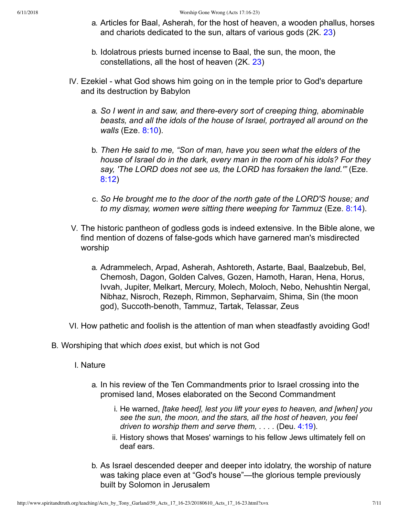- a. Articles for Baal, Asherah, for the host of heaven, a wooden phallus, horses and chariots dedicated to the sun, altars of various gods (2K. [23\)](http://www.spiritandtruth.org/bibles/nasb/b12c023.htm#2K._C23V1)
- b. Idolatrous priests burned incense to Baal, the sun, the moon, the constellations, all the host of heaven (2K. [23](http://www.spiritandtruth.org/bibles/nasb/b12c023.htm#2K._C23V1))
- IV. Ezekiel what God shows him going on in the temple prior to God's departure and its destruction by Babylon
	- a. So I went in and saw, and there-every sort of creeping thing, abominable *beasts, and all the idols of the house of Israel, portrayed all around on the walls* (Eze. [8:10](http://www.spiritandtruth.org/bibles/nasb/b26c008.htm#Eze._C8V10)).
	- b. *Then He said to me, "Son of man, have you seen what the elders of the house of Israel do in the dark, every man in the room of his idols? For they say, 'The LORD does not see us, the LORD has forsaken the land.'"* (Eze. [8:12\)](http://www.spiritandtruth.org/bibles/nasb/b26c008.htm#Eze._C8V12)
	- c. *So He brought me to the door of the north gate of the LORD'S house; and to my dismay, women were sitting there weeping for Tammuz* (Eze. [8:14\)](http://www.spiritandtruth.org/bibles/nasb/b26c008.htm#Eze._C8V14).
- V. The historic pantheon of godless gods is indeed extensive. In the Bible alone, we find mention of dozens of false-gods which have garnered man's misdirected worship
	- a. Adrammelech, Arpad, Asherah, Ashtoreth, Astarte, Baal, Baalzebub, Bel, Chemosh, Dagon, Golden Calves, Gozen, Hamoth, Haran, Hena, Horus, Ivvah, Jupiter, Melkart, Mercury, Molech, Moloch, Nebo, Nehushtin Nergal, Nibhaz, Nisroch, Rezeph, Rimmon, Sepharvaim, Shima, Sin (the moon god), Succoth-benoth, Tammuz, Tartak, Telassar, Zeus
- VI. How pathetic and foolish is the attention of man when steadfastly avoiding God!
- B. Worshiping that which *does* exist, but which is not God
	- I. Nature
		- a. In his review of the Ten Commandments prior to Israel crossing into the promised land, Moses elaborated on the Second Commandment
			- i. He warned, *[take heed], lest you lift your eyes to heaven, and [when] you see the sun, the moon, and the stars, all the host of heaven, you feel driven to worship them and serve them, . . . .* (Deu. [4:19\)](http://www.spiritandtruth.org/bibles/nasb/b05c004.htm#Deu._C4V19).
			- ii. History shows that Moses' warnings to his fellow Jews ultimately fell on deaf ears.
		- b. As Israel descended deeper and deeper into idolatry, the worship of nature was taking place even at "God's house"—the glorious temple previously built by Solomon in Jerusalem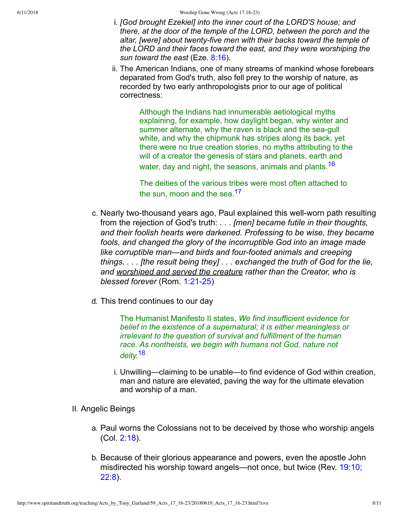- i. *[God brought Ezekiel] into the inner court of the LORD'S house; and there, at the door of the temple of the LORD, between the porch and the* altar, [were] about twenty-five men with their backs toward the temple of *the LORD and their faces toward the east, and they were worshiping the sun toward the east* (Eze. [8:16](http://www.spiritandtruth.org/bibles/nasb/b26c008.htm#Eze._C8V16)).
- ii. The American Indians, one of many streams of mankind whose forebears deparated from God's truth, also fell prey to the worship of nature, as recorded by two early anthropologists prior to our age of political correctness:

Although the Indians had innumerable aetiological myths explaining, for example, how daylight began, why winter and summer alternate, why the raven is black and the sea-gull white, and why the chipmunk has stripes along its back, yet there were no true creation stories, no myths attributing to the will of a creator the genesis of stars and planets, earth and water, day and night, the seasons, animals and plants.<sup>[16](#page-9-11)</sup>

<span id="page-7-1"></span><span id="page-7-0"></span>The deities of the various tribes were most often attached to the sun, moon and the sea.<sup>[17](#page-9-12)</sup>

- c. Nearly two-thousand years ago, Paul explained this well-worn path resulting from the rejection of God's truth: *. . . [men] became futile in their thoughts, and their foolish hearts were darkened. Professing to be wise, they became fools, and changed the glory of the incorruptible God into an image made like corruptible man—and birds and fourfooted animals and creeping things. . . . [the result being they] . . . exchanged the truth of God for the lie, and worshiped and served the creature rather than the Creator, who is blessed forever* (Rom. 1:21-25)
- d. This trend continues to our day

The Humanist Manifesto II states, *We find insufficient evidence for belief in the existence of a supernatural; it is either meaningless or irrelevant to the question of survival and fulfillment of the human race. As nontheists, we begin with humans not God, nature not deity.*[18](#page-9-13)

<span id="page-7-2"></span>i. Unwilling—claiming to be unable—to find evidence of God within creation, man and nature are elevated, paving the way for the ultimate elevation and worship of a man.

#### II. Angelic Beings

- a. Paul worns the Colossians not to be deceived by those who worship angels (Col. [2:18\)](http://www.spiritandtruth.org/bibles/nasb/b51c002.htm#Col._C2V18).
- b. Because of their glorious appearance and powers, even the apostle John misdirected his worship toward angels—not once, but twice (Rev. [19:10;](http://www.spiritandtruth.org/bibles/nasb/b66c019.htm#Rev._C19V10) [22:8\)](http://www.spiritandtruth.org/bibles/nasb/b66c022.htm#Rev._C22V8).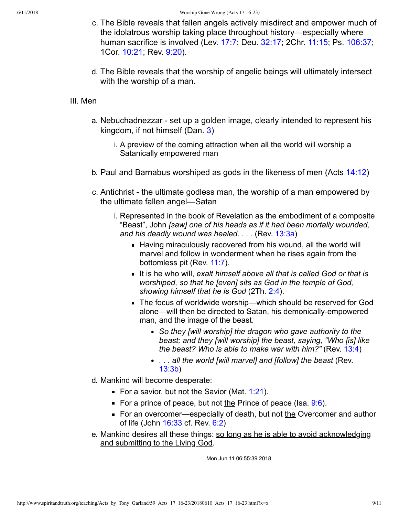- c. The Bible reveals that fallen angels actively misdirect and empower much of the idolatrous worship taking place throughout history—especially where human sacrifice is involved (Lev. [17:7;](http://www.spiritandtruth.org/bibles/nasb/b03c017.htm#Lev._C17V7) Deu. [32:17;](http://www.spiritandtruth.org/bibles/nasb/b05c032.htm#Deu._C32V17) 2Chr. [11:15](http://www.spiritandtruth.org/bibles/nasb/b14c011.htm#2Chr._C11V15); Ps. [106:37;](http://www.spiritandtruth.org/bibles/nasb/b19c106.htm#Ps._C106V37) 1Cor. [10:21](http://www.spiritandtruth.org/bibles/nasb/b46c010.htm#1Cor._C10V21); Rev. [9:20](http://www.spiritandtruth.org/bibles/nasb/b66c009.htm#Rev._C9V20)).
- d. The Bible reveals that the worship of angelic beings will ultimately intersect with the worship of a man.

#### III. Men

- a. Nebuchadnezzar set up a golden image, clearly intended to represent his kingdom, if not himself (Dan. [3\)](http://www.spiritandtruth.org/bibles/nasb/b27c003.htm#Dan._C3V1)
	- i. A preview of the coming attraction when all the world will worship a Satanically empowered man
- b. Paul and Barnabus worshiped as gods in the likeness of men (Acts [14:12](http://www.spiritandtruth.org/bibles/nasb/b44c014.htm#Acts_C14V12))
- c. Antichrist the ultimate godless man, the worship of a man empowered by the ultimate fallen angel—Satan
	- i. Represented in the book of Revelation as the embodiment of a composite "Beast", John *[saw] one of his heads as if it had been mortally wounded, and his deadly wound was healed. . . .* (Rev. [13:3a](http://www.spiritandtruth.org/bibles/nasb/b66c013.htm#Rev._C13V3))
		- Having miraculously recovered from his wound, all the world will marvel and follow in wonderment when he rises again from the bottomless pit (Rev. [11:7\)](http://www.spiritandtruth.org/bibles/nasb/b66c011.htm#Rev._C11V7).
		- It is he who will, exalt himself above all that is called God or that is *worshiped, so that he [even] sits as God in the temple of God, showing himself that he is God* (2Th. [2:4](http://www.spiritandtruth.org/bibles/nasb/b53c002.htm#2Th._C2V4)).
		- The focus of worldwide worship—which should be reserved for God alone—will then be directed to Satan, his demonically-empowered man, and the image of the beast.
			- *So they [will worship] the dragon who gave authority to the beast; and they [will worship] the beast, saying, "Who [is] like the beast? Who is able to make war with him?"* (Rev. [13:4](http://www.spiritandtruth.org/bibles/nasb/b66c013.htm#Rev._C13V4))
			- *. . . all the world [will marvel] and [follow] the beast* (Rev. [13:3b](http://www.spiritandtruth.org/bibles/nasb/b66c013.htm#Rev._C13V3))
- d. Mankind will become desperate:
	- For a savior, but not the Savior (Mat.  $1:21$ ).
	- For a prince of peace, but not the Prince of peace (Isa.  $9:6$ ).
	- For an overcomer—especially of death, but not the Overcomer and author of life (John [16:33](http://www.spiritandtruth.org/bibles/nasb/b43c016.htm#John_C16V33) cf. Rev. [6:2\)](http://www.spiritandtruth.org/bibles/nasb/b66c006.htm#Rev._C6V2)
- e. Mankind desires all these things: so long as he is able to avoid acknowledging and submitting to the Living God.

Mon Jun 11 06:55:39 2018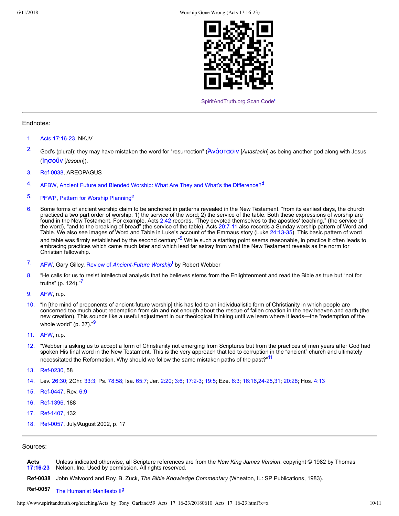<span id="page-9-26"></span><span id="page-9-25"></span>

[SpiritAndTruth.org Scan Code](http://www.spiritandtruth.org/)<sup>[c](#page-10-2)</sup>

#### Endnotes:

- <span id="page-9-0"></span>[1.](#page-0-0) Acts 17:16-23, NKJV
- <span id="page-9-1"></span><sup>[2.](#page-1-0)</sup> God's (plural): they may have mistaken the word for "resurrection" (Aνάστασιν [*Anastasin*] as being another god along with Jesus ([Ἰη˰οὔν](http://www.spiritandtruth.org/fontsu/index.htm) [*Iēsoun*]).
- <span id="page-9-2"></span>[3.](#page-1-1) Ref-0038, AREOPAGUS
- <span id="page-9-3"></span>[4.](#page-2-0) AFBW, [Ancient Future and Blended Worship: What Are They and What's the Difference?](https://www.umcdiscipleship.org/resources/ancient-future-and-blended-worship-what-are-they-and-whats-the-difference)<sup>[d](#page-10-3)</sup>
- <span id="page-9-27"></span><span id="page-9-16"></span>[5.](#page-9-15) PFWP, [Pattern for Worship Planning](https://www.ministrymatters.com/all/entry/1742/pattern-for-worship-planning)<sup>[e](#page-10-4)</sup>
- <span id="page-9-4"></span>[6.](#page-2-1) Some forms of ancient worship claim to be anchored in patterns revealed in the New Testament. "from its earliest days, the church practiced a two part order of worship: 1) the service of the word; 2) the service of the table. Both these expressions of worship are found in the New Testament. For example, Acts [2:42](http://www.spiritandtruth.org/bibles/nasb/b44c002.htm#Acts_C2V42) records, "They devoted themselves to the apostles' teaching," (the service of the word), "and to the breaking of bread" (the service of the table). Acts 20:7-11 also records a Sunday worship pattern of Word and Table. We also see images of Word and Table in Luke's account of the Emmaus story (Luke 24:13-35). This basic pattern of word and table was firmly established by the second century."<sup>[5](#page-9-16)</sup> While such a starting point seems reasonable, in practice it often leads to embracing practices which came much later and which lead far astray from what the New Testament reveals as the norm for Christian fellowship.
- <span id="page-9-28"></span><span id="page-9-18"></span><span id="page-9-15"></span><sup>[7.](#page-9-17)</sup> AFW, Gary Gilley, Review o[f](#page-10-5) Ancient-Future Worship<sup>f</sup> by Robert Webber
- <span id="page-9-17"></span><span id="page-9-5"></span>[8.](#page-2-2) "He calls for us to resist intellectual analysis that he believes stems from the Enlightenment and read the Bible as true but "not for truths" (p. 124)."<sup>[7](#page-9-18)</sup>
- <span id="page-9-20"></span>[9.](#page-9-19) AFW, n.p.
- <span id="page-9-6"></span>[10.](#page-3-0) "In [the mind of proponents of ancient-future worship] this has led to an individualistic form of Christianity in which people are concerned too much about redemption from sin and not enough about the rescue of fallen creation in the new heaven and earth (the new creation). This sounds like a useful adjustment in our theological thinking until we learn where it leads—the "redemption of the whole world" (p. 37). $99$  $99$
- <span id="page-9-22"></span><span id="page-9-19"></span>[11.](#page-9-21) AFW, n.p.
- <span id="page-9-21"></span><span id="page-9-7"></span>[12.](#page-3-1) "Webber is asking us to accept a form of Christianity not emerging from Scriptures but from the practices of men years after God had spoken His final word in the New Testament. This is the very approach that led to corruption in the "ancient" church and ultimately necessitated the Reformation. Why should we follow the same mistaken paths of the past?"<sup>[11](#page-9-22)</sup>
- <span id="page-9-8"></span>[13.](#page-3-2) Ref-0230, 58
- <span id="page-9-9"></span>[14.](#page-5-0) Lev. [26:30;](http://www.spiritandtruth.org/bibles/nasb/b03c026.htm#Lev._C26V30) 2Chr. [33:3](http://www.spiritandtruth.org/bibles/nasb/b14c033.htm#2Chr._C33V3); Ps. [78:58;](http://www.spiritandtruth.org/bibles/nasb/b19c078.htm#Ps._C78V58) Isa. [65:7](http://www.spiritandtruth.org/bibles/nasb/b23c065.htm#Isa._C65V7); Jer. [2:20;](http://www.spiritandtruth.org/bibles/nasb/b24c002.htm#Jer._C2V20) [3:6](http://www.spiritandtruth.org/bibles/nasb/b24c003.htm#Jer._C3V6); [17:23;](http://www.spiritandtruth.org/bibles/nasb/b24c017.htm#Jer._C17V2) [19:5](http://www.spiritandtruth.org/bibles/nasb/b24c019.htm#Jer._C19V5); Eze. [6:3;](http://www.spiritandtruth.org/bibles/nasb/b26c006.htm#Eze._C6V3) [16:16](http://www.spiritandtruth.org/bibles/nasb/b26c016.htm#Eze._C16V16),[2425](http://www.spiritandtruth.org/bibles/nasb/b26c016.htm#Eze._C16V24)[,31](http://www.spiritandtruth.org/bibles/nasb/b26c016.htm#Eze._C16V31); [20:28](http://www.spiritandtruth.org/bibles/nasb/b26c020.htm#Eze._C20V28); Hos. [4:13](http://www.spiritandtruth.org/bibles/nasb/b28c004.htm#Hos._C4V13)
- <span id="page-9-10"></span>[15.](#page-5-1) Ref-0447, Rev. [6:9](http://www.spiritandtruth.org/bibles/nasb/b66c006.htm#Rev._C6V9)
- <span id="page-9-11"></span>[16.](#page-7-0) Ref-1396, 188
- <span id="page-9-12"></span>[17.](#page-7-1) Ref-1407, 132
- <span id="page-9-13"></span>[18.](#page-7-2) Ref-0057, July/August 2002, p. 17

#### Sources:

<span id="page-9-29"></span><span id="page-9-24"></span><span id="page-9-23"></span><span id="page-9-14"></span>**Acts [17:1623](http://www.spiritandtruth.org/bibles/nasb/b44c017.htm#Acts_C17V16)** Unless indicated otherwise, all Scripture references are from the *New King James Version*, copyright © 1982 by Thomas Nelson, Inc. Used by permission. All rights reserved. **Ref-0038** John Walvoord and Roy. B. Zuck, The Bible Knowledge Commentary (Wheaton, IL: SP Publications, 1983). **Ref-0057** [The Humanist Manifesto II](http://www.americanhumanist.org/about/manifesto2.html)<sup>[g](#page-10-9)</sup>